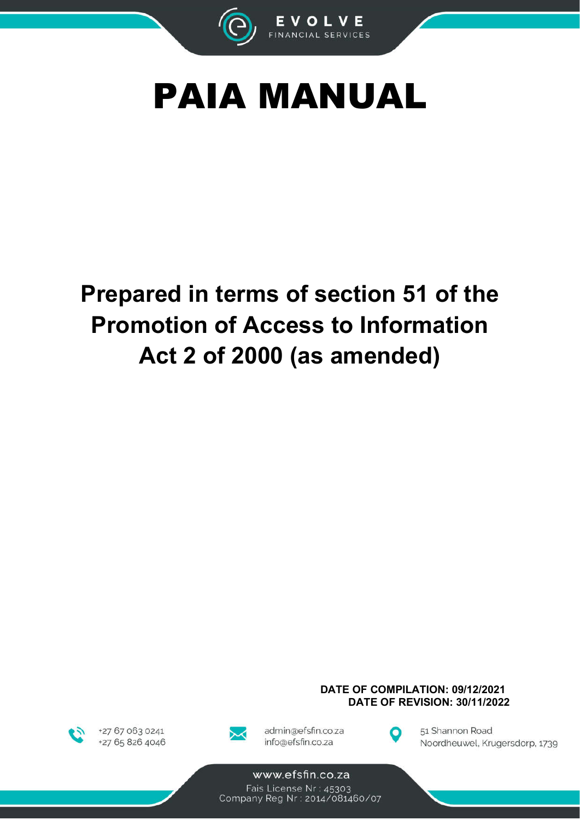



# Prepared in terms of section 51 of the **Promotion of Access to Information** Act 2 of 2000 (as amended)



+27 67 063 0241 +27 65 826 4046



admin@efsfin.co.za info@efsfin.co.za



DATE OF COMPILATION: 09/12/2021

**DATE OF REVISION: 30/11/2022** 

51 Shannon Road Noordheuwel, Krugersdorp, 1739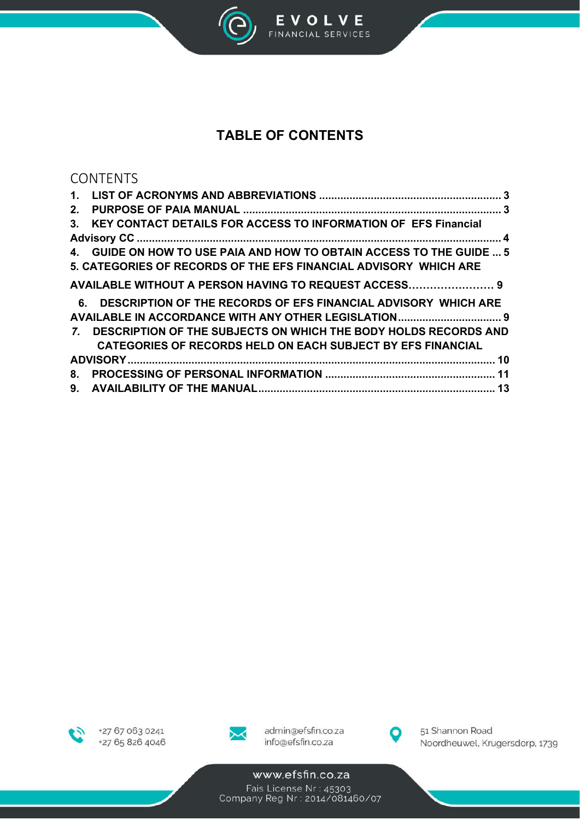

EVOLVE<br>FINANCIAL SERVICES

# **TABLE OF CONTENTS**

## CONTENTS

| 2. |                                                                      |
|----|----------------------------------------------------------------------|
|    | 3. KEY CONTACT DETAILS FOR ACCESS TO INFORMATION OF EFS Financial    |
|    |                                                                      |
|    | 4. GUIDE ON HOW TO USE PAIA AND HOW TO OBTAIN ACCESS TO THE GUIDE  5 |
|    | 5. CATEGORIES OF RECORDS OF THE EFS FINANCIAL ADVISORY WHICH ARE     |
|    | AVAILABLE WITHOUT A PERSON HAVING TO REQUEST ACCESS 9                |
|    | 6. DESCRIPTION OF THE RECORDS OF EFS FINANCIAL ADVISORY WHICH ARE    |
|    |                                                                      |
|    | 7. DESCRIPTION OF THE SUBJECTS ON WHICH THE BODY HOLDS RECORDS AND   |
|    | <b>CATEGORIES OF RECORDS HELD ON EACH SUBJECT BY EFS FINANCIAL</b>   |
|    |                                                                      |
|    |                                                                      |
|    |                                                                      |





admin@efsfin.co.za info@efsfin.co.za



51 Shannon Road Noordheuwel, Krugersdorp, 1739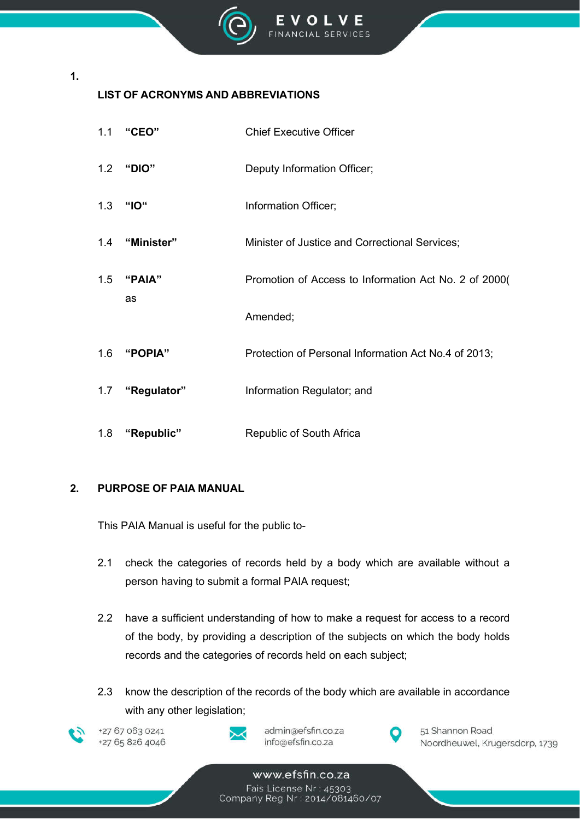

## **LIST OF ACRONYMS AND ABBREVIATIONS**

| 1.1 | "CEO"       | <b>Chief Executive Officer</b>                        |
|-----|-------------|-------------------------------------------------------|
| 1.2 | "DIO"       | Deputy Information Officer;                           |
| 1.3 | "IO"        | Information Officer;                                  |
| 1.4 | "Minister"  | Minister of Justice and Correctional Services;        |
| 1.5 | "PAIA"      | Promotion of Access to Information Act No. 2 of 2000( |
|     | as          | Amended;                                              |
| 1.6 | "POPIA"     | Protection of Personal Information Act No.4 of 2013;  |
| 1.7 | "Regulator" | Information Regulator; and                            |
| 1.8 | "Republic"  | Republic of South Africa                              |

## **2. PURPOSE OF PAIA MANUAL**

This PAIA Manual is useful for the public to-

- 2.1 check the categories of records held by a body which are available without a person having to submit a formal PAIA request;
- 2.2 have a sufficient understanding of how to make a request for access to a record of the body, by providing a description of the subjects on which the body holds records and the categories of records held on each subject;
- 2.3 know the description of the records of the body which are available in accordance with any other legislation;



**1.**

+27 67 063 0241 +27 65 826 4046



admin@efsfin.co.za info@efsfin.co.za



51 Shannon Road Noordheuwel, Krugersdorp, 1739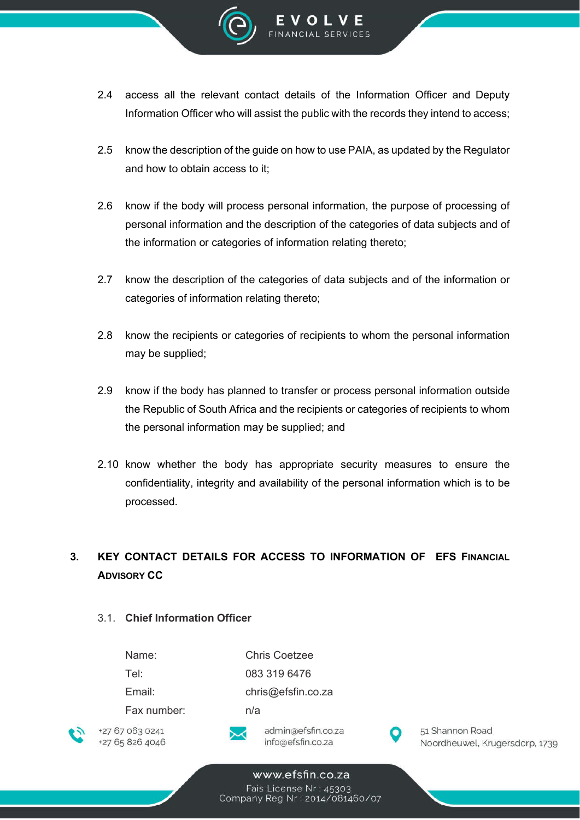

- 2.4 access all the relevant contact details of the Information Officer and Deputy Information Officer who will assist the public with the records they intend to access;
- 2.5 know the description of the guide on how to use PAIA, as updated by the Regulator and how to obtain access to it;
- 2.6 know if the body will process personal information, the purpose of processing of personal information and the description of the categories of data subjects and of the information or categories of information relating thereto;
- 2.7 know the description of the categories of data subjects and of the information or categories of information relating thereto;
- 2.8 know the recipients or categories of recipients to whom the personal information may be supplied;
- 2.9 know if the body has planned to transfer or process personal information outside the Republic of South Africa and the recipients or categories of recipients to whom the personal information may be supplied; and
- 2.10 know whether the body has appropriate security measures to ensure the confidentiality, integrity and availability of the personal information which is to be processed.

## **3. KEY CONTACT DETAILS FOR ACCESS TO INFORMATION OF EFS FINANCIAL ADVISORY CC**

#### 3.1. **Chief Information Officer**

| Name:       | Chris Coetzee                                                                                                    |
|-------------|------------------------------------------------------------------------------------------------------------------|
| Tel:        | 083 319 6476                                                                                                     |
| Email:      | chris@efsfin.co.za                                                                                               |
| Fax number: | n/a                                                                                                              |
|             | and the company of the Company of the company of the company of the company of the company of the company of the |



+27 67 063 0241 +27 65 826 4046



admin@efsfin.co.za info@efsfin.co.za



51 Shannon Road Noordheuwel, Krugersdorp, 1739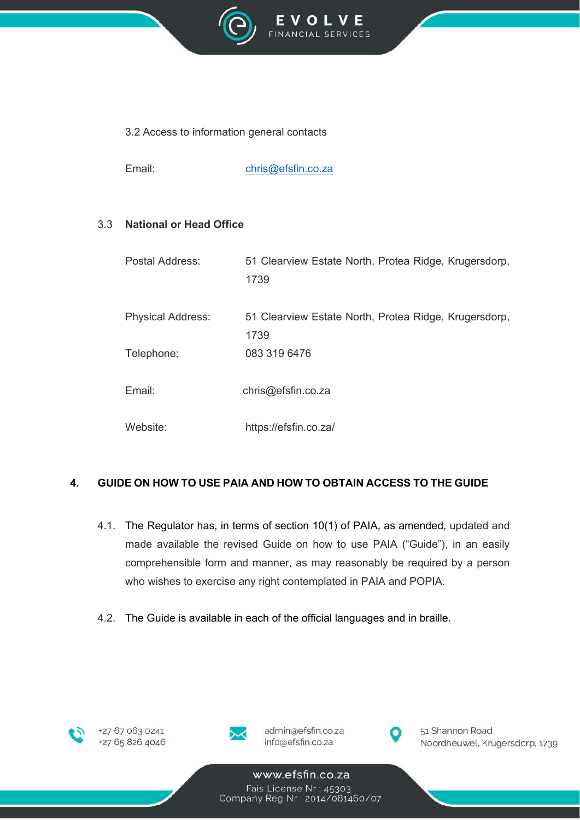

### 3.2 Access to information general contacts

Email: chris@efsfin.co.za

### 3.3 **National or Head Office**

| Postal Address:          | 51 Clearview Estate North, Protea Ridge, Krugersdorp,<br>1739 |
|--------------------------|---------------------------------------------------------------|
| <b>Physical Address:</b> | 51 Clearview Estate North, Protea Ridge, Krugersdorp,<br>1739 |
| Telephone:               | 083 319 6476                                                  |
| Email:                   | chris@efsfin.co.za                                            |
| Website:                 | https://efsfin.co.za/                                         |

## **4. GUIDE ON HOW TO USE PAIA AND HOW TO OBTAIN ACCESS TO THE GUIDE**

- 4.1. The Regulator has, in terms of section 10(1) of PAIA, as amended, updated and made available the revised Guide on how to use PAIA ("Guide"), in an easily comprehensible form and manner, as may reasonably be required by a person who wishes to exercise any right contemplated in PAIA and POPIA.
- 4.2. The Guide is available in each of the official languages and in braille.





admin@efsfin.co.za info@efsfin.co.za



51 Shannon Road Noordheuwel, Krugersdorp, 1739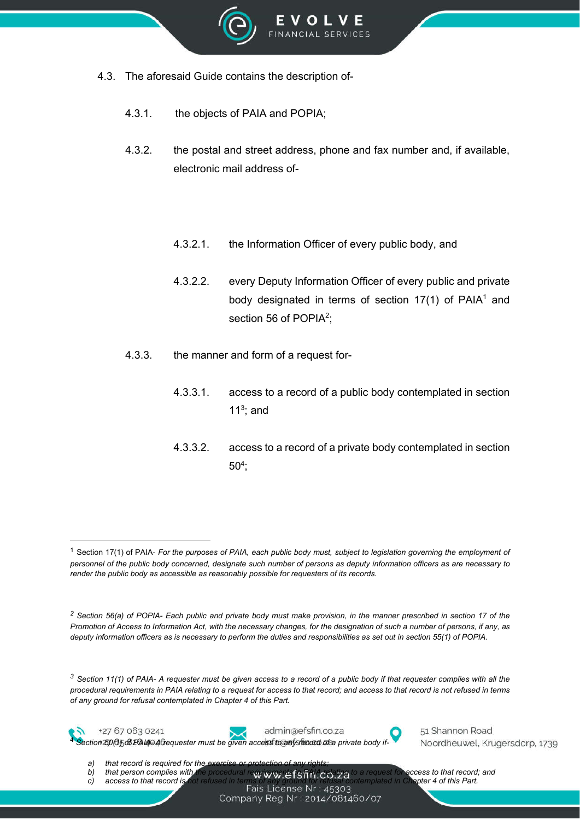

- 4.3. The aforesaid Guide contains the description of-
	- 4.3.1. the objects of PAIA and POPIA;
	- 4.3.2. the postal and street address, phone and fax number and, if available, electronic mail address of-
		- 4.3.2.1. the Information Officer of every public body, and
		- 4.3.2.2. every Deputy Information Officer of every public and private body designated in terms of section 17(1) of PAIA<sup>1</sup> and section 56 of POPIA<sup>2</sup>;
	- 4.3.3. the manner and form of a request for-
		- 4.3.3.1. access to a record of a public body contemplated in section 11 $3$ ; and
		- 4.3.3.2. access to a record of a private body contemplated in section  $50<sup>4</sup>$ ;

*<sup>3</sup> Section 11(1) of PAIA- A requester must be given access to a record of a public body if that requester complies with all the procedural requirements in PAIA relating to a request for access to that record; and access to that record is not refused in terms of any ground for refusal contemplated in Chapter 4 of this Part.*



+27 67 063 0241



admin@efsfin.co.za <sup>4</sup> *Section 50(1) of PAIA- A requester must be given access to any record of a private body if-*



51 Shannon Road Noordheuwel, Krugersdorp, 1739

a) that record is required for the

*b)* that person complies with the procedural requirements in PAIA. Celating to a request for access to that record; and c) access to that record is not refused in terms of any ground for refusal contemplated in Chapter 4

*c*) *access to that record is not refused in terms of any ground for refusal c***ontents of contemplated in Chapter 4 of this Parte.** 

Company Reg Nr: 2014/081460/07

<sup>1</sup> Section 17(1) of PAIA- *For the purposes of PAIA, each public body must, subject to legislation governing the employment of personnel of the public body concerned, designate such number of persons as deputy information officers as are necessary to render the public body as accessible as reasonably possible for requesters of its records.*

*<sup>2</sup> Section 56(a) of POPIA- Each public and private body must make provision, in the manner prescribed in section 17 of the Promotion of Access to Information Act, with the necessary changes, for the designation of such a number of persons, if any, as deputy information officers as is necessary to perform the duties and responsibilities as set out in section 55(1) of POPIA.*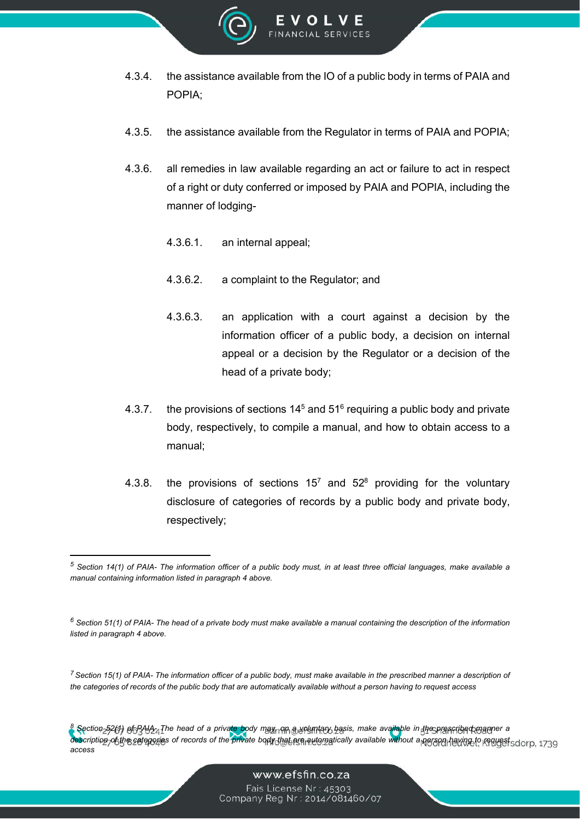

- 4.3.4. the assistance available from the IO of a public body in terms of PAIA and POPIA;
- 4.3.5. the assistance available from the Regulator in terms of PAIA and POPIA;
- 4.3.6. all remedies in law available regarding an act or failure to act in respect of a right or duty conferred or imposed by PAIA and POPIA, including the manner of lodging-
	- 4.3.6.1. an internal appeal;
	- 4.3.6.2. a complaint to the Regulator; and
	- 4.3.6.3. an application with a court against a decision by the information officer of a public body, a decision on internal appeal or a decision by the Regulator or a decision of the head of a private body;
- 4.3.7. the provisions of sections  $14<sup>5</sup>$  and  $51<sup>6</sup>$  requiring a public body and private body, respectively, to compile a manual, and how to obtain access to a manual;
- 4.3.8. the provisions of sections  $15^7$  and  $52^8$  providing for the voluntary disclosure of categories of records by a public body and private body, respectively;

*<sup>7</sup> Section 15(1) of PAIA- The information officer of a public body, must make available in the prescribed manner a description of the categories of records of the public body that are automatically available without a person having to request access*

*<sup>8</sup> Section 52(1) of PAIA- The head of a private body may, on a voluntary basis, make available in the prescribed manner a*  description of the categories of records of the private body that are religionatically available without a person having to request sdorp, 1739 *access*

*<sup>5</sup> Section 14(1) of PAIA- The information officer of a public body must, in at least three official languages, make available a manual containing information listed in paragraph 4 above.*

*<sup>6</sup> Section 51(1) of PAIA- The head of a private body must make available a manual containing the description of the information listed in paragraph 4 above.*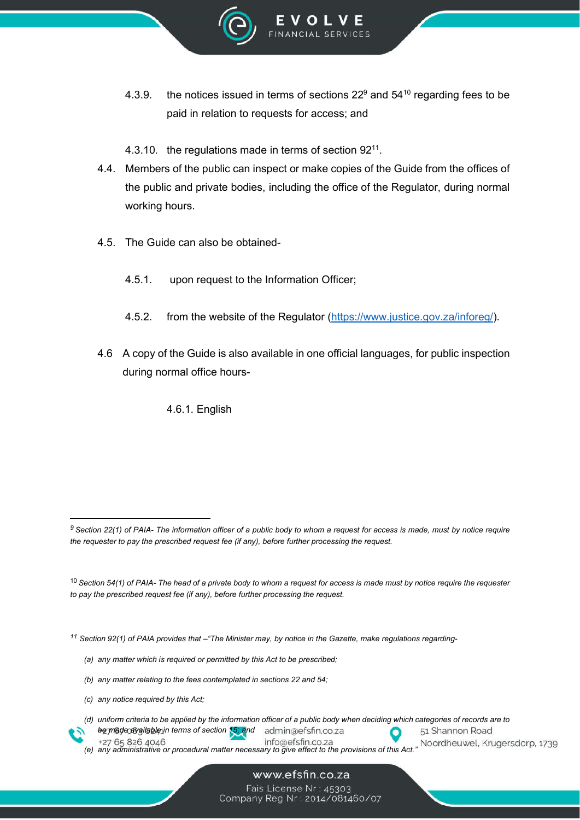

- 4.3.9. the notices issued in terms of sections  $22^9$  and  $54^{10}$  regarding fees to be paid in relation to requests for access; and
- 4.3.10. the regulations made in terms of section  $92^{11}$ .
- 4.4. Members of the public can inspect or make copies of the Guide from the offices of the public and private bodies, including the office of the Regulator, during normal working hours.
- 4.5. The Guide can also be obtained-
	- 4.5.1. upon request to the Information Officer;
	- 4.5.2. from the website of the Regulator (https://www.justice.gov.za/inforeg/).
- 4.6 A copy of the Guide is also available in one official languages, for public inspection during normal office hours-

4.6.1. English

*<sup>11</sup> Section 92(1) of PAIA provides that –"The Minister may, by notice in the Gazette, make regulations regarding-*

- *(a) any matter which is required or permitted by this Act to be prescribed;*
- *(b) any matter relating to the fees contemplated in sections 22 and 54;*
- *(c) any notice required by this Act;*

*(d) uniform criteria to be applied by the information officer of a public body when deciding which categories of records are to* 

- *be made available in terms of section 15; and* admin@efsfin.co.za +27 65 826 4046 info@efsfin.co.za
- *(e) any administrative or procedural matter necessary to give effect to the provisions of this Act."*

51 Shannon Road Noordheuwel, Krugersdorp, 1739

*<sup>9</sup> Section 22(1) of PAIA- The information officer of a public body to whom a request for access is made, must by notice require the requester to pay the prescribed request fee (if any), before further processing the request.*

<sup>10</sup> *Section 54(1) of PAIA- The head of a private body to whom a request for access is made must by notice require the requester to pay the prescribed request fee (if any), before further processing the request.*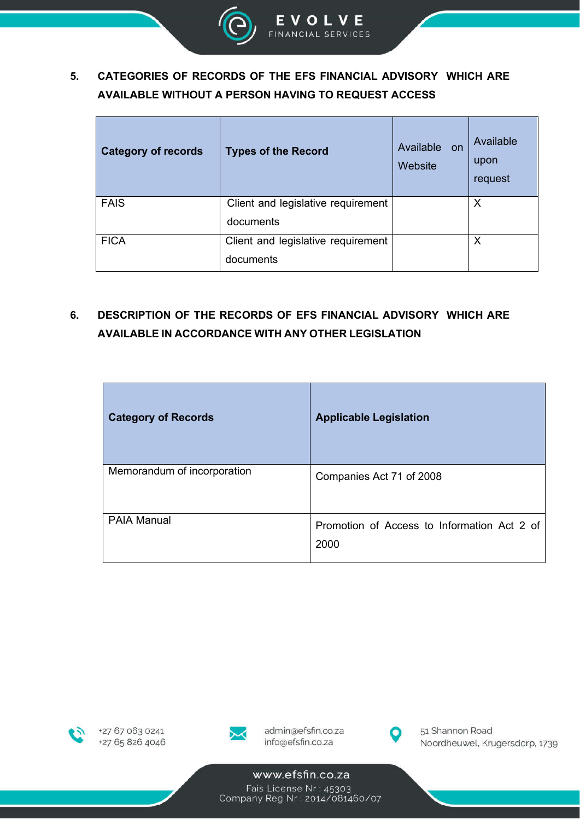

## **5. CATEGORIES OF RECORDS OF THE EFS FINANCIAL ADVISORY WHICH ARE AVAILABLE WITHOUT A PERSON HAVING TO REQUEST ACCESS**

| <b>Category of records</b> | <b>Types of the Record</b>         | Available on<br>Website | Available<br>upon<br>request |
|----------------------------|------------------------------------|-------------------------|------------------------------|
| <b>FAIS</b>                | Client and legislative requirement |                         | Х                            |
|                            | documents                          |                         |                              |
| <b>FICA</b>                | Client and legislative requirement |                         | Χ                            |
|                            | documents                          |                         |                              |

## **6. DESCRIPTION OF THE RECORDS OF EFS FINANCIAL ADVISORY WHICH ARE AVAILABLE IN ACCORDANCE WITH ANY OTHER LEGISLATION**

| <b>Category of Records</b>  | <b>Applicable Legislation</b>                       |
|-----------------------------|-----------------------------------------------------|
| Memorandum of incorporation | Companies Act 71 of 2008                            |
| <b>PAIA Manual</b>          | Promotion of Access to Information Act 2 of<br>2000 |





admin@efsfin.co.za info@efsfin.co.za



51 Shannon Road Noordheuwel, Krugersdorp, 1739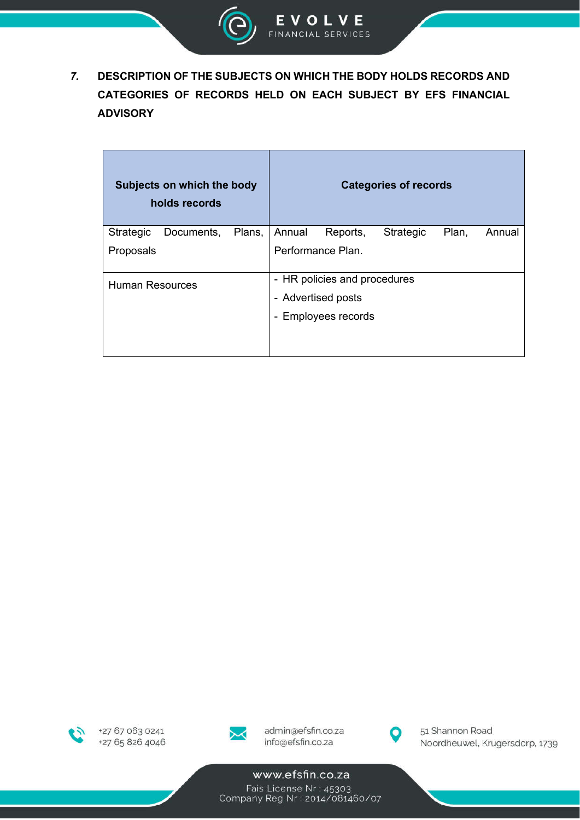

 $\overline{7}$ . DESCRIPTION OF THE SUBJECTS ON WHICH THE BODY HOLDS RECORDS AND CATEGORIES OF RECORDS HELD ON EACH SUBJECT BY EFS FINANCIAL **ADVISORY** 

|                        | Subjects on which the body<br>holds records |        |        |                              | <b>Categories of records</b> |       |        |
|------------------------|---------------------------------------------|--------|--------|------------------------------|------------------------------|-------|--------|
| Strategic              | Documents,                                  | Plans, | Annual | Reports,                     | Strategic                    | Plan, | Annual |
| Proposals              |                                             |        |        | Performance Plan.            |                              |       |        |
| <b>Human Resources</b> |                                             |        |        | - HR policies and procedures |                              |       |        |
|                        |                                             |        |        | - Advertised posts           |                              |       |        |
|                        |                                             |        |        | - Employees records          |                              |       |        |
|                        |                                             |        |        |                              |                              |       |        |



+27 67 063 0241 +27 65 826 4046



admin@efsfin.co.za info@efsfin.co.za



51 Shannon Road Noordheuwel, Krugersdorp, 1739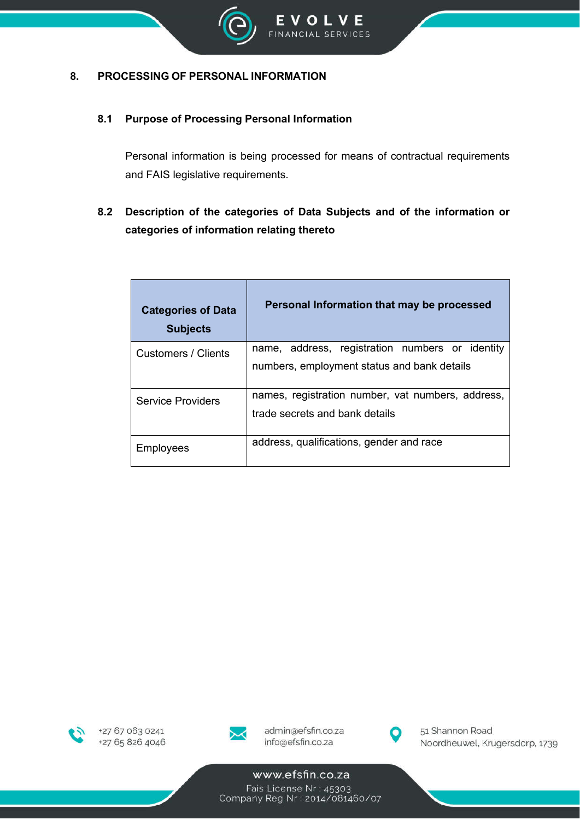

#### **8. PROCESSING OF PERSONAL INFORMATION**

#### **8.1 Purpose of Processing Personal Information**

Personal information is being processed for means of contractual requirements and FAIS legislative requirements.

## **8.2 Description of the categories of Data Subjects and of the information or categories of information relating thereto**

| <b>Categories of Data</b><br><b>Subjects</b> | Personal Information that may be processed                                                     |  |  |
|----------------------------------------------|------------------------------------------------------------------------------------------------|--|--|
| Customers / Clients                          | name, address, registration numbers or identity<br>numbers, employment status and bank details |  |  |
| <b>Service Providers</b>                     | names, registration number, vat numbers, address,<br>trade secrets and bank details            |  |  |
| Employees                                    | address, qualifications, gender and race                                                       |  |  |





admin@efsfin.co.za info@efsfin.co.za



51 Shannon Road Noordheuwel, Krugersdorp, 1739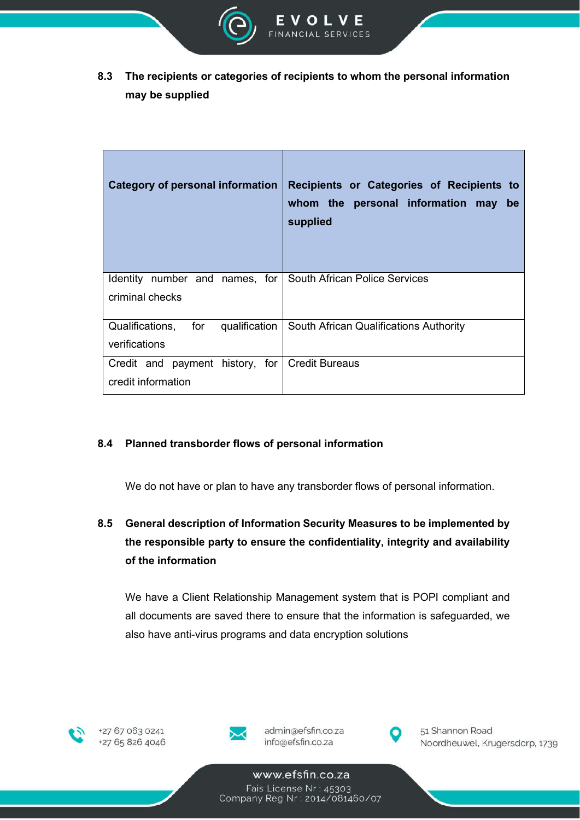

**8.3 The recipients or categories of recipients to whom the personal information may be supplied**

| Category of personal information                                     | Recipients or Categories of Recipients to<br>whom the personal information may<br>be<br>supplied |
|----------------------------------------------------------------------|--------------------------------------------------------------------------------------------------|
| Identity number and names, for<br>criminal checks                    | South African Police Services                                                                    |
| Qualifications, for qualification<br>verifications                   | South African Qualifications Authority                                                           |
| Credit and payment history, for Credit Bureaus<br>credit information |                                                                                                  |

#### **8.4 Planned transborder flows of personal information**

We do not have or plan to have any transborder flows of personal information.

## **8.5 General description of Information Security Measures to be implemented by the responsible party to ensure the confidentiality, integrity and availability of the information**

We have a Client Relationship Management system that is POPI compliant and all documents are saved there to ensure that the information is safeguarded, we also have anti-virus programs and data encryption solutions





admin@efsfin.co.za info@efsfin.co.za



51 Shannon Road Noordheuwel, Krugersdorp, 1739